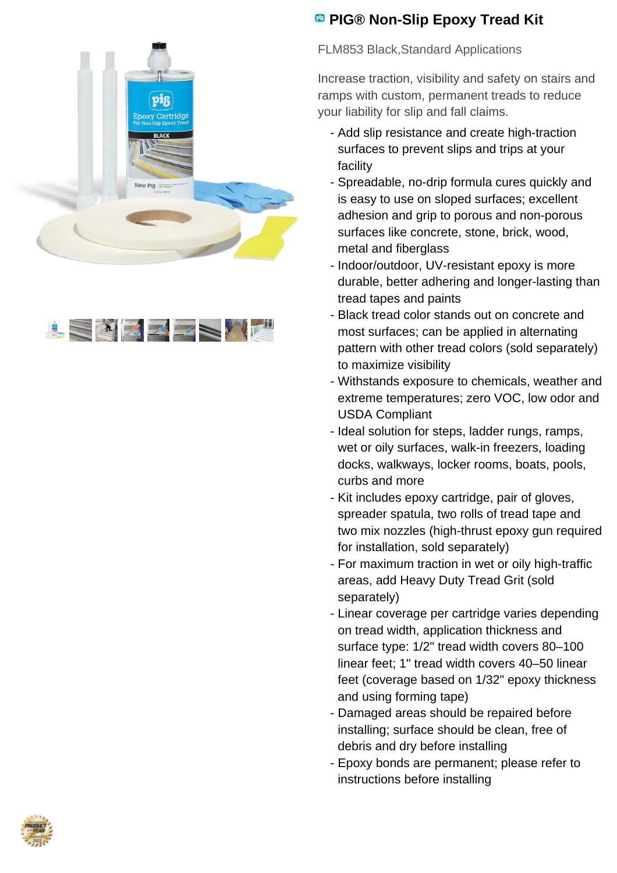



## **<sup><b>B</sup>** PIG® Non-Slip Epoxy Tread Kit</sup>

FLM853 Black,Standard Applications

Increase traction, visibility and safety on stairs and ramps with custom, permanent treads to reduce your liability for slip and fall claims.

- Add slip resistance and create high-traction surfaces to prevent slips and trips at your facility
- Spreadable, no-drip formula cures quickly and is easy to use on sloped surfaces; excellent adhesion and grip to porous and non-porous surfaces like concrete, stone, brick, wood, metal and fiberglass
- Indoor/outdoor, UV-resistant epoxy is more durable, better adhering and longer-lasting than tread tapes and paints
- Black tread color stands out on concrete and most surfaces; can be applied in alternating pattern with other tread colors (sold separately) to maximize visibility
- Withstands exposure to chemicals, weather and extreme temperatures; zero VOC, low odor and USDA Compliant
- Ideal solution for steps, ladder rungs, ramps, wet or oily surfaces, walk-in freezers, loading docks, walkways, locker rooms, boats, pools, curbs and more
- Kit includes epoxy cartridge, pair of gloves, spreader spatula, two rolls of tread tape and two mix nozzles (high-thrust epoxy gun required for installation, sold separately)
- For maximum traction in wet or oily high-traffic areas, add Heavy Duty Tread Grit (sold separately)
- Linear coverage per cartridge varies depending on tread width, application thickness and surface type: 1/2" tread width covers 80–100 linear feet; 1" tread width covers 40–50 linear feet (coverage based on 1/32" epoxy thickness and using forming tape)
- Damaged areas should be repaired before installing; surface should be clean, free of debris and dry before installing
- Epoxy bonds are permanent; please refer to instructions before installing